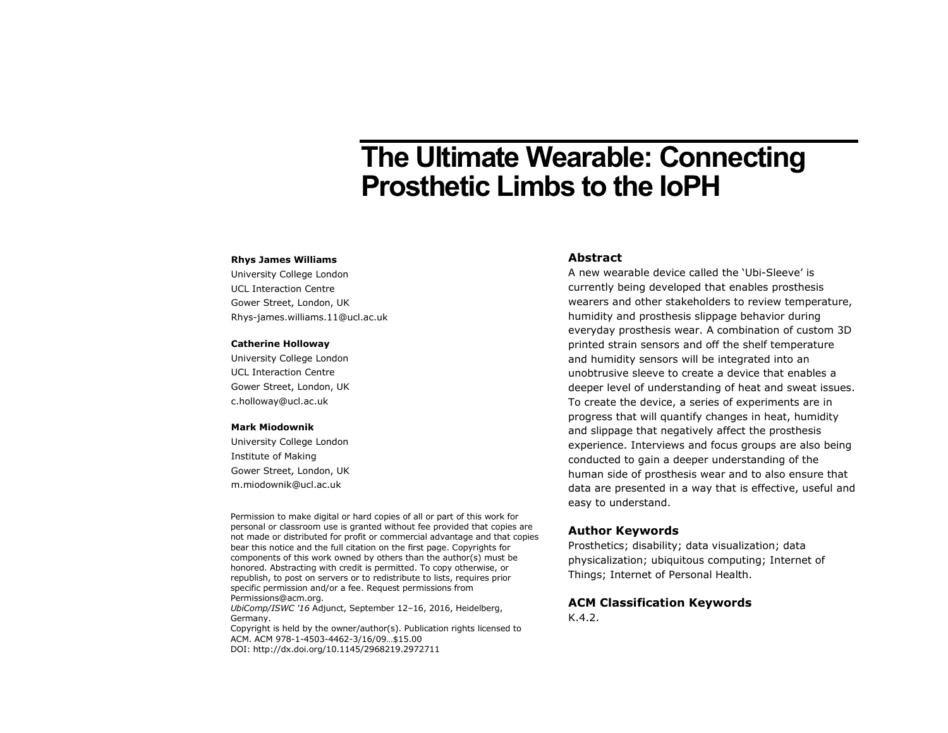# **The Ultimate Wearable: Connecting Prosthetic Limbs to the IoPH**

#### **Rhys James Williams**

University College London UCL Interaction Centre Gower Street, London, UK Rhys-james.williams.11@ucl.ac.uk

#### **Catherine Holloway**

University College London UCL Interaction Centre Gower Street, London, UK c.holloway@ucl.ac.uk

#### **Mark Miodownik**

University College London Institute of Making Gower Street, London, UK m.miodownik@ucl.ac.uk

Permission to make digital or hard copies of all or part of this work for personal or classroom use is granted without fee provided that copies are not made or distributed for profit or commercial advantage and that copies bear this notice and the full citation on the first page. Copyrights for components of this work owned by others than the author(s) must be honored. Abstracting with credit is permitted. To copy otherwise, or republish, to post on servers or to redistribute to lists, requires prior specific permission and/or a fee. Request permissions from Permissions@acm.org.

*UbiComp/ISWC '16* Adjunct, September 12–16, 2016, Heidelberg, Germany.

Copyright is held by the owner/author(s). Publication rights licensed to ACM. ACM 978-1-4503-4462-3/16/09…\$15.00 DOI: http://dx.doi.org/10.1145/2968219.2972711

#### **Abstract**

A new wearable device called the 'Ubi-Sleeve' is currently being developed that enables prosthesis wearers and other stakeholders to review temperature, humidity and prosthesis slippage behavior during everyday prosthesis wear. A combination of custom 3D printed strain sensors and off the shelf temperature and humidity sensors will be integrated into an unobtrusive sleeve to create a device that enables a deeper level of understanding of heat and sweat issues. To create the device, a series of experiments are in progress that will quantify changes in heat, humidity and slippage that negatively affect the prosthesis experience. Interviews and focus groups are also being conducted to gain a deeper understanding of the human side of prosthesis wear and to also ensure that data are presented in a way that is effective, useful and easy to understand.

#### **Author Keywords**

Prosthetics; disability; data visualization; data physicalization; ubiquitous computing; Internet of Things; Internet of Personal Health.

# **ACM Classification Keywords**

K.4.2.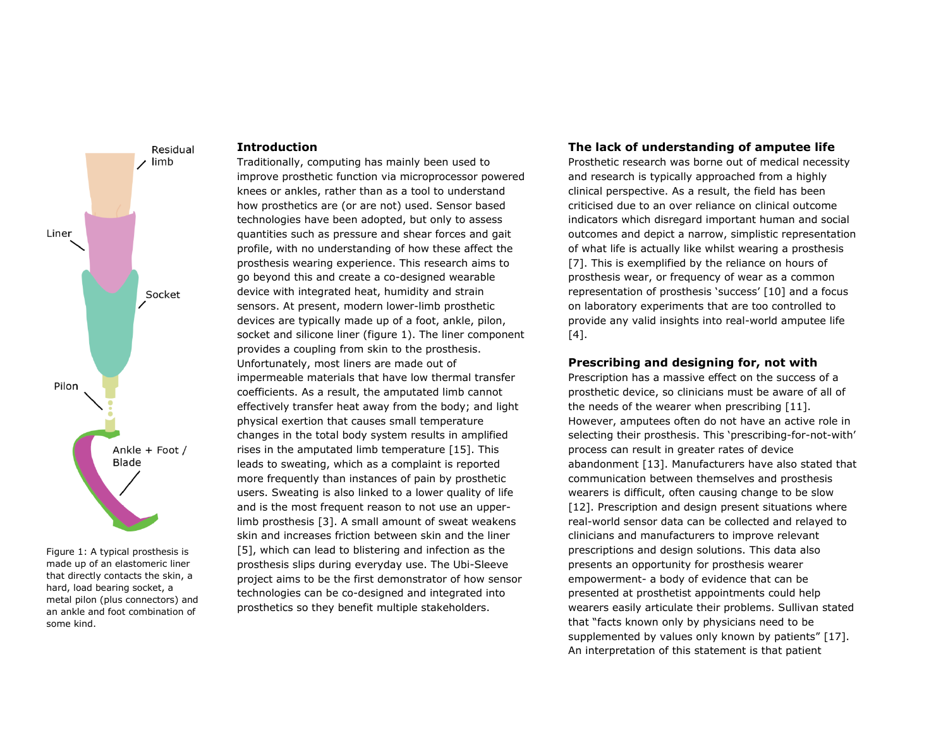

Figure 1: A typical prosthesis is made up of an elastomeric liner that directly contacts the skin, a hard, load bearing socket, a metal pilon (plus connectors) and an ankle and foot combination of some kind.

#### **Introduction**

Traditionally, computing has mainly been used to improve prosthetic function via microprocessor powered knees or ankles, rather than as a tool to understand how prosthetics are (or are not) used. Sensor based technologies have been adopted, but only to assess quantities such as pressure and shear forces and gait profile, with no understanding of how these affect the prosthesis wearing experience. This research aims to go beyond this and create a co-designed wearable device with integrated heat, humidity and strain sensors. At present, modern lower-limb prosthetic devices are typically made up of a foot, ankle, pilon, socket and silicone liner (figure 1). The liner component provides a coupling from skin to the prosthesis. Unfortunately, most liners are made out of impermeable materials that have low thermal transfer coefficients. As a result, the amputated limb cannot effectively transfer heat away from the body; and light physical exertion that causes small temperature changes in the total body system results in amplified rises in the amputated limb temperature [15]. This leads to sweating, which as a complaint is reported more frequently than instances of pain by prosthetic users. Sweating is also linked to a lower quality of life and is the most frequent reason to not use an upperlimb prosthesis [3]. A small amount of sweat weakens skin and increases friction between skin and the liner [5], which can lead to blistering and infection as the prosthesis slips during everyday use. The Ubi-Sleeve project aims to be the first demonstrator of how sensor technologies can be co-designed and integrated into prosthetics so they benefit multiple stakeholders.

#### **The lack of understanding of amputee life**

Prosthetic research was borne out of medical necessity and research is typically approached from a highly clinical perspective. As a result, the field has been criticised due to an over reliance on clinical outcome indicators which disregard important human and social outcomes and depict a narrow, simplistic representation of what life is actually like whilst wearing a prosthesis [7]. This is exemplified by the reliance on hours of prosthesis wear, or frequency of wear as a common representation of prosthesis 'success' [10] and a focus on laboratory experiments that are too controlled to provide any valid insights into real-world amputee life [4].

#### **Prescribing and designing for, not with**

Prescription has a massive effect on the success of a prosthetic device, so clinicians must be aware of all of the needs of the wearer when prescribing [11]. However, amputees often do not have an active role in selecting their prosthesis. This 'prescribing-for-not-with' process can result in greater rates of device abandonment [13]. Manufacturers have also stated that communication between themselves and prosthesis wearers is difficult, often causing change to be slow [12]. Prescription and design present situations where real-world sensor data can be collected and relayed to clinicians and manufacturers to improve relevant prescriptions and design solutions. This data also presents an opportunity for prosthesis wearer empowerment- a body of evidence that can be presented at prosthetist appointments could help wearers easily articulate their problems. Sullivan stated that "facts known only by physicians need to be supplemented by values only known by patients" [17]. An interpretation of this statement is that patient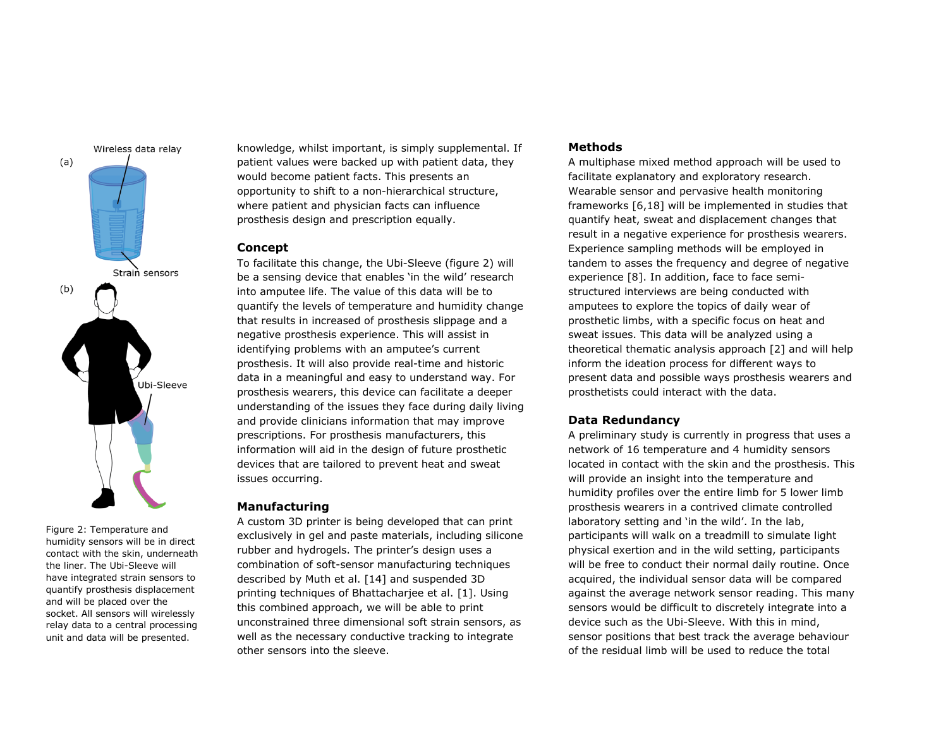

Figure 2: Temperature and humidity sensors will be in direct contact with the skin, underneath the liner. The Ubi-Sleeve will have integrated strain sensors to quantify prosthesis displacement and will be placed over the socket. All sensors will wirelessly relay data to a central processing unit and data will be presented.

knowledge, whilst important, is simply supplemental. If patient values were backed up with patient data, they would become patient facts. This presents an opportunity to shift to a non-hierarchical structure, where patient and physician facts can influence prosthesis design and prescription equally.

#### **Concept**

To facilitate this change, the Ubi-Sleeve (figure 2) will be a sensing device that enables 'in the wild' research into amputee life. The value of this data will be to quantify the levels of temperature and humidity change that results in increased of prosthesis slippage and a negative prosthesis experience. This will assist in identifying problems with an amputee's current prosthesis. It will also provide real-time and historic data in a meaningful and easy to understand way. For prosthesis wearers, this device can facilitate a deeper understanding of the issues they face during daily living and provide clinicians information that may improve prescriptions. For prosthesis manufacturers, this information will aid in the design of future prosthetic devices that are tailored to prevent heat and sweat issues occurring.

#### **Manufacturing**

A custom 3D printer is being developed that can print exclusively in gel and paste materials, including silicone rubber and hydrogels. The printer's design uses a combination of soft-sensor manufacturing techniques described by Muth et al. [14] and suspended 3D printing techniques of Bhattacharjee et al. [1]. Using this combined approach, we will be able to print unconstrained three dimensional soft strain sensors, as well as the necessary conductive tracking to integrate other sensors into the sleeve.

#### **Methods**

A multiphase mixed method approach will be used to facilitate explanatory and exploratory research. Wearable sensor and pervasive health monitoring frameworks [6,18] will be implemented in studies that quantify heat, sweat and displacement changes that result in a negative experience for prosthesis wearers. Experience sampling methods will be employed in tandem to asses the frequency and degree of negative experience [8]. In addition, face to face semistructured interviews are being conducted with amputees to explore the topics of daily wear of prosthetic limbs, with a specific focus on heat and sweat issues. This data will be analyzed using a theoretical thematic analysis approach [2] and will help inform the ideation process for different ways to present data and possible ways prosthesis wearers and prosthetists could interact with the data.

#### **Data Redundancy**

A preliminary study is currently in progress that uses a network of 16 temperature and 4 humidity sensors located in contact with the skin and the prosthesis. This will provide an insight into the temperature and humidity profiles over the entire limb for 5 lower limb prosthesis wearers in a contrived climate controlled laboratory setting and 'in the wild'. In the lab, participants will walk on a treadmill to simulate light physical exertion and in the wild setting, participants will be free to conduct their normal daily routine. Once acquired, the individual sensor data will be compared against the average network sensor reading. This many sensors would be difficult to discretely integrate into a device such as the Ubi-Sleeve. With this in mind, sensor positions that best track the average behaviour of the residual limb will be used to reduce the total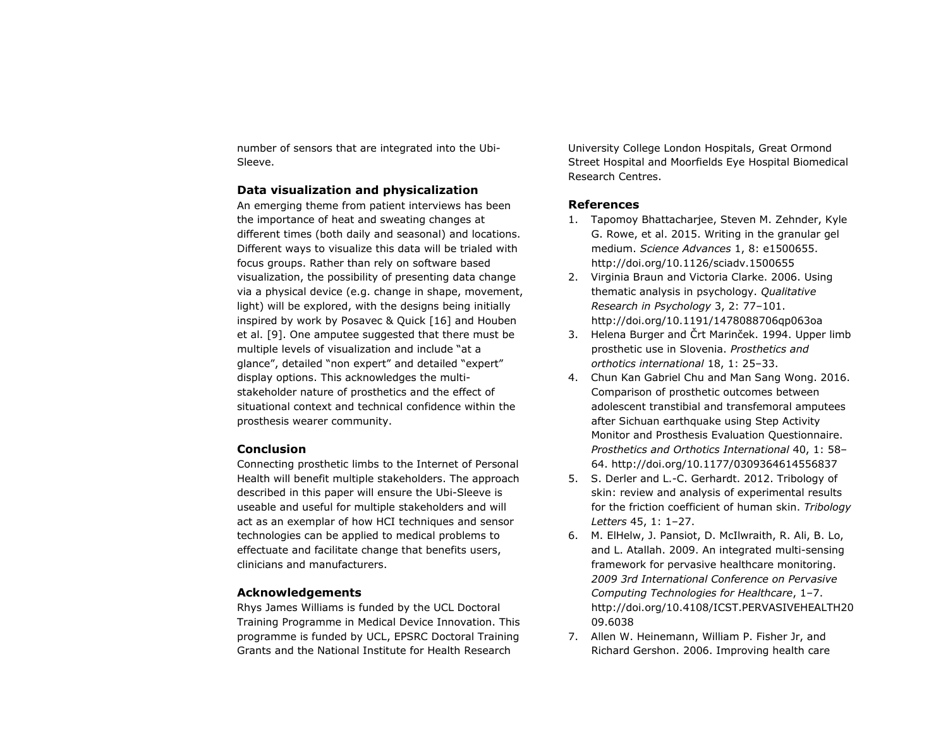number of sensors that are integrated into the Ubi-Sleeve.

### **Data visualization and physicalization**

An emerging theme from patient interviews has been the importance of heat and sweating changes at different times (both daily and seasonal) and locations. Different ways to visualize this data will be trialed with focus groups. Rather than rely on software based visualization, the possibility of presenting data change via a physical device (e.g. change in shape, movement, light) will be explored, with the designs being initially inspired by work by Posavec & Quick [16] and Houben et al. [9]. One amputee suggested that there must be multiple levels of visualization and include "at a glance", detailed "non expert" and detailed "expert" display options. This acknowledges the multistakeholder nature of prosthetics and the effect of situational context and technical confidence within the prosthesis wearer community.

### **Conclusion**

Connecting prosthetic limbs to the Internet of Personal Health will benefit multiple stakeholders. The approach described in this paper will ensure the Ubi-Sleeve is useable and useful for multiple stakeholders and will act as an exemplar of how HCI techniques and sensor technologies can be applied to medical problems to effectuate and facilitate change that benefits users, clinicians and manufacturers.

## **Acknowledgements**

Rhys James Williams is funded by the UCL Doctoral Training Programme in Medical Device Innovation. This programme is funded by UCL, EPSRC Doctoral Training Grants and the National Institute for Health Research

University College London Hospitals, Great Ormond Street Hospital and Moorfields Eye Hospital Biomedical Research Centres.

# **References**

- 1. Tapomoy Bhattacharjee, Steven M. Zehnder, Kyle G. Rowe, et al. 2015. Writing in the granular gel medium. *Science Advances* 1, 8: e1500655. http://doi.org/10.1126/sciadv.1500655
- 2. Virginia Braun and Victoria Clarke. 2006. Using thematic analysis in psychology. *Qualitative Research in Psychology* 3, 2: 77–101. http://doi.org/10.1191/1478088706qp063oa
- 3. Helena Burger and Črt Marinček. 1994. Upper limb prosthetic use in Slovenia. *Prosthetics and orthotics international* 18, 1: 25–33.
- 4. Chun Kan Gabriel Chu and Man Sang Wong. 2016. Comparison of prosthetic outcomes between adolescent transtibial and transfemoral amputees after Sichuan earthquake using Step Activity Monitor and Prosthesis Evaluation Questionnaire. *Prosthetics and Orthotics International* 40, 1: 58– 64. http://doi.org/10.1177/0309364614556837
- 5. S. Derler and L.-C. Gerhardt. 2012. Tribology of skin: review and analysis of experimental results for the friction coefficient of human skin. *Tribology Letters* 45, 1: 1–27.
- 6. M. ElHelw, J. Pansiot, D. McIlwraith, R. Ali, B. Lo, and L. Atallah. 2009. An integrated multi-sensing framework for pervasive healthcare monitoring. *2009 3rd International Conference on Pervasive Computing Technologies for Healthcare*, 1–7. http://doi.org/10.4108/ICST.PERVASIVEHEALTH20 09.6038
- 7. Allen W. Heinemann, William P. Fisher Jr, and Richard Gershon. 2006. Improving health care